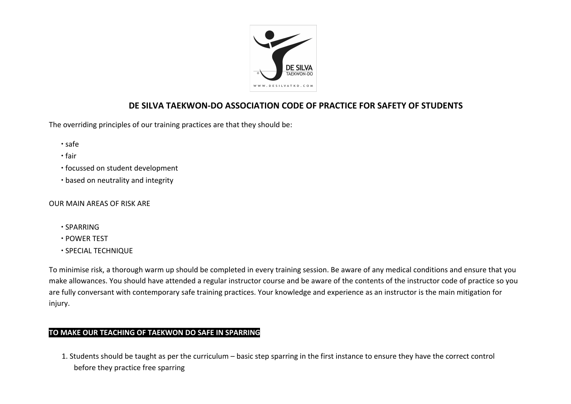

# **DE SILVA TAEKWON-DO ASSOCIATION CODE OF PRACTICE FOR SAFETY OF STUDENTS**

The overriding principles of our training practices are that they should be:

- ∙ safe
- ∙ fair
- ∙ focussed on student development
- ∙ based on neutrality and integrity

#### OUR MAIN AREAS OF RISK ARE

- ∙ SPARRING
- ∙ POWER TEST
- ∙ SPECIAL TECHNIQUE

To minimise risk, a thorough warm up should be completed in every training session. Be aware of any medical conditions and ensure that you make allowances. You should have attended a regular instructor course and be aware of the contents of the instructor code of practice so you are fully conversant with contemporary safe training practices. Your knowledge and experience as an instructor is the main mitigation for injury.

## **TO MAKE OUR TEACHING OF TAEKWON DO SAFE IN SPARRING**

1. Students should be taught as per the curriculum – basic step sparring in the first instance to ensure they have the correct control before they practice free sparring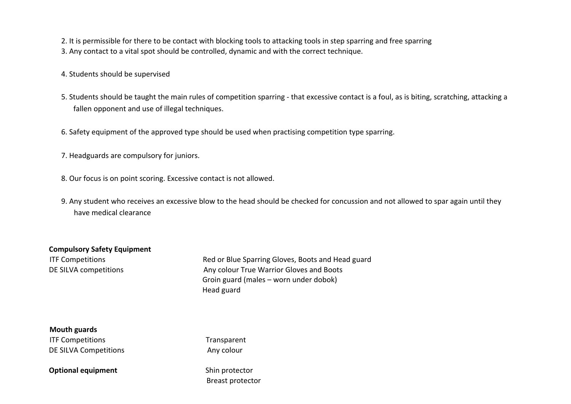2. It is permissible for there to be contact with blocking tools to attacking tools in step sparring and free sparring 3. Any contact to a vital spot should be controlled, dynamic and with the correct technique.

4. Students should be supervised

- 5. Students should be taught the main rules of competition sparring that excessive contact is a foul, as is biting, scratching, attacking a fallen opponent and use of illegal techniques.
- 6. Safety equipment of the approved type should be used when practising competition type sparring.
- 7. Headguards are compulsory for juniors.
- 8. Our focus is on point scoring. Excessive contact is not allowed.
- 9. Any student who receives an excessive blow to the head should be checked for concussion and not allowed to spar again until they have medical clearance

#### **Compulsory Safety Equipment**

ITF Competitions **Red or Blue Sparring Gloves, Boots and Head guard** DE SILVA competitions and Boots Any colour True Warrior Gloves and Boots Groin guard (males – worn under dobok) Head guard

**Mouth guards ITF Competitions Transparent** DE SILVA Competitions **Any colour** 

**Optional equipment** Shin protector

Breast protector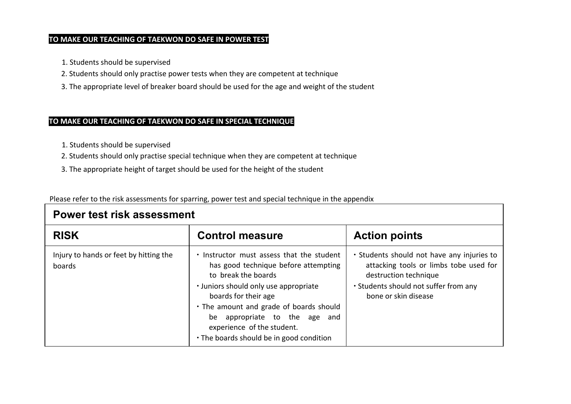### **TO MAKE OUR TEACHING OF TAEKWON DO SAFE IN POWER TEST**

- 1. Students should be supervised
- 2. Students should only practise power tests when they are competent at technique
- 3. The appropriate level of breaker board should be used for the age and weight of the student

## **TO MAKE OUR TEACHING OF TAEKWON DO SAFE IN SPECIAL TECHNIQUE**

- 1. Students should be supervised
- 2. Students should only practise special technique when they are competent at technique
- 3. The appropriate height of target should be used for the height of the student

Please refer to the risk assessments for sparring, power test and special technique in the appendix

| Power test risk assessment                       |                                                                                                                                                                                                                                                                                                                                 |                                                                                                                                                                                |  |
|--------------------------------------------------|---------------------------------------------------------------------------------------------------------------------------------------------------------------------------------------------------------------------------------------------------------------------------------------------------------------------------------|--------------------------------------------------------------------------------------------------------------------------------------------------------------------------------|--|
| <b>RISK</b>                                      | <b>Control measure</b>                                                                                                                                                                                                                                                                                                          | <b>Action points</b>                                                                                                                                                           |  |
| Injury to hands or feet by hitting the<br>boards | . Instructor must assess that the student<br>has good technique before attempting<br>to break the boards<br>• Juniors should only use appropriate<br>boards for their age<br>. The amount and grade of boards should<br>be appropriate to the age and<br>experience of the student.<br>. The boards should be in good condition | . Students should not have any injuries to<br>attacking tools or limbs tobe used for<br>destruction technique<br>. Students should not suffer from any<br>bone or skin disease |  |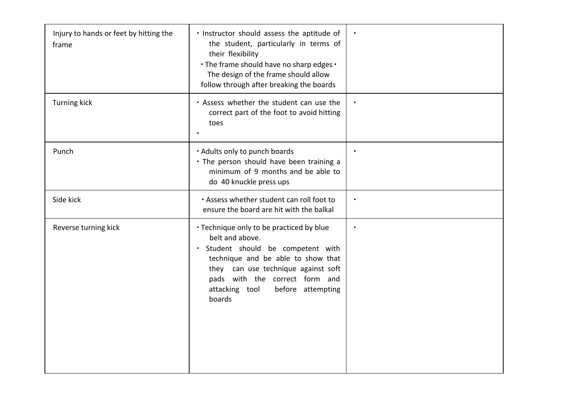| Injury to hands or feet by hitting the<br>frame | · Instructor should assess the aptitude of<br>the student, particularly in terms of<br>their flexibility<br>. The frame should have no sharp edges .<br>The design of the frame should allow<br>follow through after breaking the boards                                     |           |
|-------------------------------------------------|------------------------------------------------------------------------------------------------------------------------------------------------------------------------------------------------------------------------------------------------------------------------------|-----------|
| <b>Turning kick</b>                             | . Assess whether the student can use the<br>correct part of the foot to avoid hitting<br>toes                                                                                                                                                                                | $\bullet$ |
| Punch                                           | . Adults only to punch boards<br>. The person should have been training a<br>minimum of 9 months and be able to<br>do 40 knuckle press ups                                                                                                                                   | $\bullet$ |
| Side kick                                       | . Assess whether student can roll foot to<br>ensure the board are hit with the balkal                                                                                                                                                                                        | $\bullet$ |
| Reverse turning kick                            | • Technique only to be practiced by blue<br>belt and above.<br>Student should be competent with<br>$\bullet$<br>technique and be able to show that<br>they can use technique against soft<br>pads with the correct form and<br>attacking tool<br>before attempting<br>boards |           |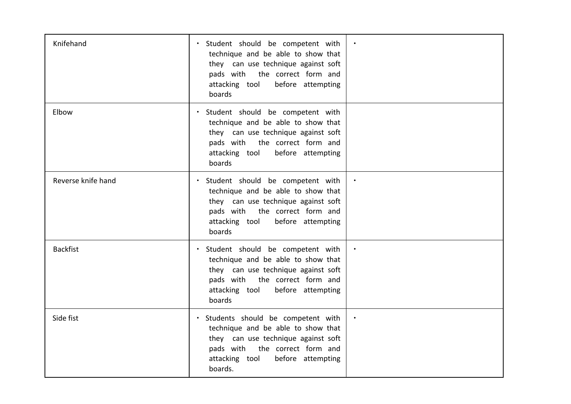| Knifehand          | Student should be competent with<br>technique and be able to show that<br>they can use technique against soft<br>pads with the correct form and<br>attacking tool<br>before attempting<br>boards     |  |
|--------------------|------------------------------------------------------------------------------------------------------------------------------------------------------------------------------------------------------|--|
| Elbow              | Student should be competent with<br>technique and be able to show that<br>they can use technique against soft<br>pads with the correct form and<br>attacking tool<br>before attempting<br>boards     |  |
| Reverse knife hand | Student should be competent with<br>technique and be able to show that<br>they can use technique against soft<br>pads with the correct form and<br>attacking tool<br>before attempting<br>boards     |  |
| <b>Backfist</b>    | Student should be competent with<br>technique and be able to show that<br>they can use technique against soft<br>pads with<br>the correct form and<br>attacking tool<br>before attempting<br>boards  |  |
| Side fist          | · Students should be competent with<br>technique and be able to show that<br>they can use technique against soft<br>pads with the correct form and<br>attacking tool<br>before attempting<br>boards. |  |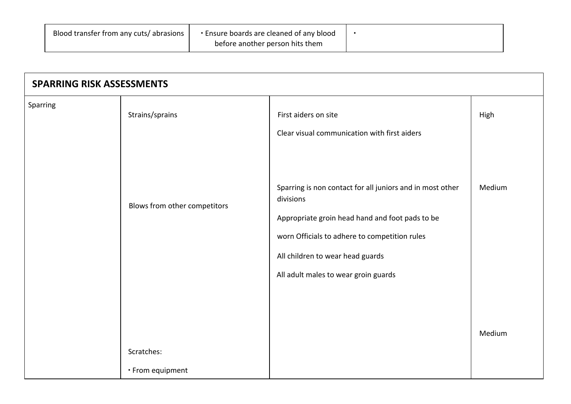| • Ensure boards are cleaned of any blood<br>Blood transfer from any cuts/abrasions |                                 |  |
|------------------------------------------------------------------------------------|---------------------------------|--|
|                                                                                    | before another person hits them |  |

| <b>SPARRING RISK ASSESSMENTS</b> |                              |                                                                                                                                                                                           |                |
|----------------------------------|------------------------------|-------------------------------------------------------------------------------------------------------------------------------------------------------------------------------------------|----------------|
| Sparring                         | Strains/sprains              | First aiders on site<br>Clear visual communication with first aiders<br>Sparring is non contact for all juniors and in most other                                                         | High<br>Medium |
|                                  | Blows from other competitors | divisions<br>Appropriate groin head hand and foot pads to be<br>worn Officials to adhere to competition rules<br>All children to wear head guards<br>All adult males to wear groin guards |                |
|                                  | Scratches:                   |                                                                                                                                                                                           | Medium         |
|                                  | · From equipment             |                                                                                                                                                                                           |                |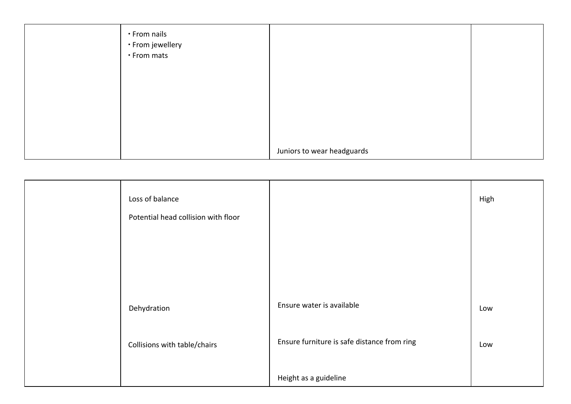| • From nails<br>• From jewellery<br>• From mats |                            |  |
|-------------------------------------------------|----------------------------|--|
|                                                 |                            |  |
|                                                 |                            |  |
|                                                 | Juniors to wear headguards |  |

| Loss of balance                     |                                             | High |
|-------------------------------------|---------------------------------------------|------|
| Potential head collision with floor |                                             |      |
|                                     |                                             |      |
|                                     |                                             |      |
|                                     |                                             |      |
| Dehydration                         | Ensure water is available                   | Low  |
| Collisions with table/chairs        | Ensure furniture is safe distance from ring | Low  |
|                                     | Height as a guideline                       |      |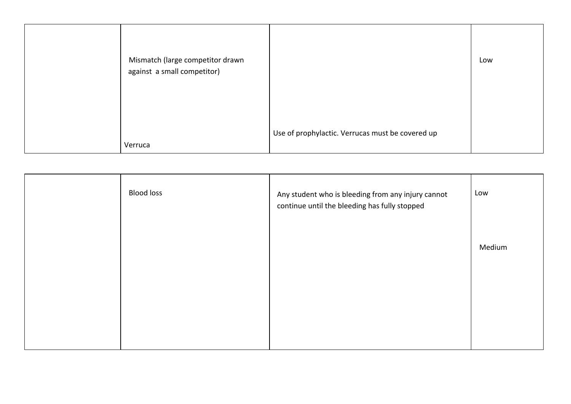| Mismatch (large competitor drawn<br>against a small competitor) |                                                  | Low |
|-----------------------------------------------------------------|--------------------------------------------------|-----|
| Verruca                                                         | Use of prophylactic. Verrucas must be covered up |     |

| <b>Blood loss</b> | Any student who is bleeding from any injury cannot<br>continue until the bleeding has fully stopped | Low    |
|-------------------|-----------------------------------------------------------------------------------------------------|--------|
|                   |                                                                                                     | Medium |
|                   |                                                                                                     |        |